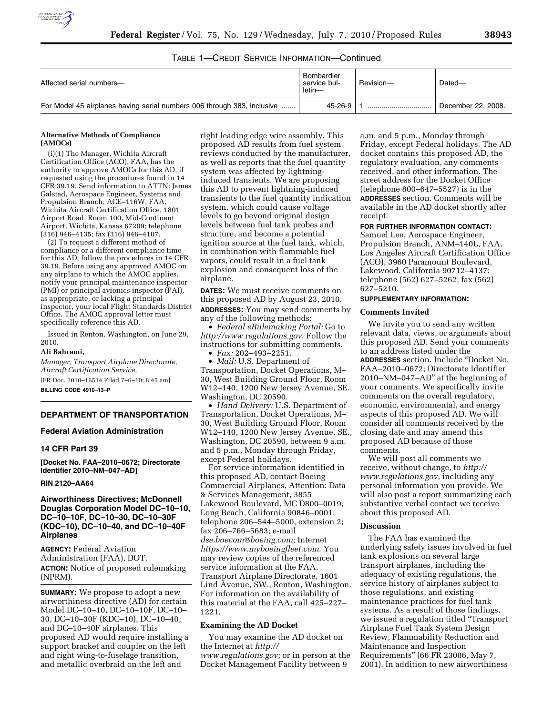

# TABLE 1—CREDIT SERVICE INFORMATION—Continued

| Affected serial numbers-                                                | Bombardier<br>service bul-<br>letin— | Revision- | Dated-             |
|-------------------------------------------------------------------------|--------------------------------------|-----------|--------------------|
| For Model 45 airplanes having serial numbers 006 through 383, inclusive | 45-26-9                              |           | December 22, 2008. |

## **Alternative Methods of Compliance (AMOCs)**

(i)(1) The Manager, Wichita Aircraft Certification Office (ACO), FAA, has the authority to approve AMOCs for this AD, if requested using the procedures found in 14 CFR 39.19. Send information to ATTN: James Galstad, Aerospace Engineer, Systems and Propulsion Branch, ACE–116W, FAA, Wichita Aircraft Certification Office, 1801 Airport Road, Room 100, Mid-Continent Airport, Wichita, Kansas 67209; telephone (316) 946–4135; fax (316) 946–4107.

(2) To request a different method of compliance or a different compliance time for this AD, follow the procedures in 14 CFR 39.19. Before using any approved AMOC on any airplane to which the AMOC applies, notify your principal maintenance inspector (PMI) or principal avionics inspector (PAI), as appropriate, or lacking a principal inspector, your local Flight Standards District Office. The AMOC approval letter must specifically reference this AD.

Issued in Renton, Washington, on June 29, 2010.

### **Ali Bahrami,**

*Manager, Transport Airplane Directorate, Aircraft Certification Service.* 

[FR Doc. 2010–16514 Filed 7–6–10; 8:45 am] **BILLING CODE 4910–13–P** 

# **DEPARTMENT OF TRANSPORTATION**

## **Federal Aviation Administration**

### **14 CFR Part 39**

**[Docket No. FAA–2010–0672; Directorate Identifier 2010–NM–047–AD]** 

# **RIN 2120–AA64**

# **Airworthiness Directives; McDonnell Douglas Corporation Model DC–10–10, DC–10–10F, DC–10–30, DC–10–30F (KDC–10), DC–10–40, and DC–10–40F Airplanes**

**AGENCY:** Federal Aviation Administration (FAA), DOT. **ACTION:** Notice of proposed rulemaking (NPRM).

**SUMMARY:** We propose to adopt a new airworthiness directive (AD) for certain Model DC–10–10, DC–10–10F, DC–10– 30, DC–10–30F (KDC–10), DC–10–40, and DC–10–40F airplanes. This proposed AD would require installing a support bracket and coupler on the left and right wing-to-fuselage transition, and metallic overbraid on the left and

right leading edge wire assembly. This proposed AD results from fuel system reviews conducted by the manufacturer, as well as reports that the fuel quantity system was affected by lightninginduced transients. We are proposing this AD to prevent lightning-induced transients to the fuel quantity indication system, which could cause voltage levels to go beyond original design levels between fuel tank probes and structure, and become a potential ignition source at the fuel tank, which, in combination with flammable fuel vapors, could result in a fuel tank explosion and consequent loss of the airplane.

**DATES:** We must receive comments on this proposed AD by August 23, 2010. **ADDRESSES:** You may send comments by any of the following methods:

• *Federal eRulemaking Portal:* Go to *http://www.regulations.gov*. Follow the instructions for submitting comments.

• *Fax:* 202–493–2251.

• *Mail:* U.S. Department of Transportation, Docket Operations, M– 30, West Building Ground Floor, Room W12–140, 1200 New Jersey Avenue, SE., Washington, DC 20590.

• *Hand Delivery:* U.S. Department of Transportation, Docket Operations, M– 30, West Building Ground Floor, Room W12–140, 1200 New Jersey Avenue, SE., Washington, DC 20590, between 9 a.m. and 5 p.m., Monday through Friday, except Federal holidays.

For service information identified in this proposed AD, contact Boeing Commercial Airplanes, Attention: Data & Services Management, 3855 Lakewood Boulevard, MC D800–0019, Long Beach, California 90846–0001; telephone 206–544–5000, extension 2; fax 206–766–5683; e-mail *dse.boecom@boeing.com;* Internet *https://www.myboeingfleet.com*. You may review copies of the referenced service information at the FAA, Transport Airplane Directorate, 1601 Lind Avenue, SW., Renton, Washington. For information on the availability of this material at the FAA, call 425–227– 1221.

### **Examining the AD Docket**

You may examine the AD docket on the Internet at *http:// www.regulations.gov;* or in person at the Docket Management Facility between 9

a.m. and 5 p.m., Monday through Friday, except Federal holidays. The AD docket contains this proposed AD, the regulatory evaluation, any comments received, and other information. The street address for the Docket Office (telephone 800–647–5527) is in the **ADDRESSES** section. Comments will be available in the AD docket shortly after receipt.

# **FOR FURTHER INFORMATION CONTACT:**

Samuel Lee, Aerospace Engineer, Propulsion Branch, ANM–140L, FAA, Los Angeles Aircraft Certification Office (ACO), 3960 Paramount Boulevard, Lakewood, California 90712–4137; telephone (562) 627–5262; fax (562) 627–5210.

# **SUPPLEMENTARY INFORMATION:**

# **Comments Invited**

We invite you to send any written relevant data, views, or arguments about this proposed AD. Send your comments to an address listed under the **ADDRESSES** section. Include ''Docket No. FAA–2010–0672; Directorate Identifier 2010–NM–047–AD'' at the beginning of your comments. We specifically invite comments on the overall regulatory, economic, environmental, and energy aspects of this proposed AD. We will consider all comments received by the closing date and may amend this proposed AD because of those comments.

We will post all comments we receive, without change, to *http:// www.regulations.gov,* including any personal information you provide. We will also post a report summarizing each substantive verbal contact we receive about this proposed AD.

# **Discussion**

The FAA has examined the underlying safety issues involved in fuel tank explosions on several large transport airplanes, including the adequacy of existing regulations, the service history of airplanes subject to those regulations, and existing maintenance practices for fuel tank systems. As a result of those findings, we issued a regulation titled ''Transport Airplane Fuel Tank System Design Review, Flammability Reduction and Maintenance and Inspection Requirements'' (66 FR 23086, May 7, 2001). In addition to new airworthiness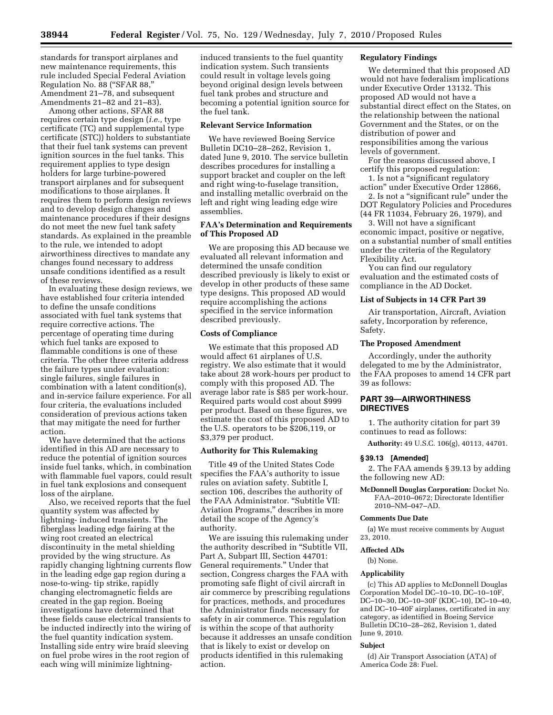standards for transport airplanes and new maintenance requirements, this rule included Special Federal Aviation Regulation No. 88 (''SFAR 88,'' Amendment 21–78, and subsequent Amendments 21–82 and 21–83).

Among other actions, SFAR 88 requires certain type design (*i.e.,* type certificate (TC) and supplemental type certificate (STC)) holders to substantiate that their fuel tank systems can prevent ignition sources in the fuel tanks. This requirement applies to type design holders for large turbine-powered transport airplanes and for subsequent modifications to those airplanes. It requires them to perform design reviews and to develop design changes and maintenance procedures if their designs do not meet the new fuel tank safety standards. As explained in the preamble to the rule, we intended to adopt airworthiness directives to mandate any changes found necessary to address unsafe conditions identified as a result of these reviews.

In evaluating these design reviews, we have established four criteria intended to define the unsafe conditions associated with fuel tank systems that require corrective actions. The percentage of operating time during which fuel tanks are exposed to flammable conditions is one of these criteria. The other three criteria address the failure types under evaluation: single failures, single failures in combination with a latent condition(s), and in-service failure experience. For all four criteria, the evaluations included consideration of previous actions taken that may mitigate the need for further action.

We have determined that the actions identified in this AD are necessary to reduce the potential of ignition sources inside fuel tanks, which, in combination with flammable fuel vapors, could result in fuel tank explosions and consequent loss of the airplane.

Also, we received reports that the fuel quantity system was affected by lightning- induced transients. The fiberglass leading edge fairing at the wing root created an electrical discontinuity in the metal shielding provided by the wing structure. As rapidly changing lightning currents flow in the leading edge gap region during a nose-to-wing- tip strike, rapidly changing electromagnetic fields are created in the gap region. Boeing investigations have determined that these fields cause electrical transients to be inducted indirectly into the wiring of the fuel quantity indication system. Installing side entry wire braid sleeving on fuel probe wires in the root region of each wing will minimize lightninginduced transients to the fuel quantity indication system. Such transients could result in voltage levels going beyond original design levels between fuel tank probes and structure and becoming a potential ignition source for the fuel tank.

### **Relevant Service Information**

We have reviewed Boeing Service Bulletin DC10–28–262, Revision 1, dated June 9, 2010. The service bulletin describes procedures for installing a support bracket and coupler on the left and right wing-to-fuselage transition, and installing metallic overbraid on the left and right wing leading edge wire assemblies.

# **FAA's Determination and Requirements of This Proposed AD**

We are proposing this AD because we evaluated all relevant information and determined the unsafe condition described previously is likely to exist or develop in other products of these same type designs. This proposed AD would require accomplishing the actions specified in the service information described previously.

## **Costs of Compliance**

We estimate that this proposed AD would affect 61 airplanes of U.S. registry. We also estimate that it would take about 28 work-hours per product to comply with this proposed AD. The average labor rate is \$85 per work-hour. Required parts would cost about \$999 per product. Based on these figures, we estimate the cost of this proposed AD to the U.S. operators to be \$206,119, or \$3,379 per product.

# **Authority for This Rulemaking**

Title 49 of the United States Code specifies the FAA's authority to issue rules on aviation safety. Subtitle I, section 106, describes the authority of the FAA Administrator. ''Subtitle VII: Aviation Programs,'' describes in more detail the scope of the Agency's authority.

We are issuing this rulemaking under the authority described in ''Subtitle VII, Part A, Subpart III, Section 44701: General requirements.'' Under that section, Congress charges the FAA with promoting safe flight of civil aircraft in air commerce by prescribing regulations for practices, methods, and procedures the Administrator finds necessary for safety in air commerce. This regulation is within the scope of that authority because it addresses an unsafe condition that is likely to exist or develop on products identified in this rulemaking action.

# **Regulatory Findings**

We determined that this proposed AD would not have federalism implications under Executive Order 13132. This proposed AD would not have a substantial direct effect on the States, on the relationship between the national Government and the States, or on the distribution of power and responsibilities among the various levels of government.

For the reasons discussed above, I certify this proposed regulation:

1. Is not a ''significant regulatory action'' under Executive Order 12866,

2. Is not a ''significant rule'' under the DOT Regulatory Policies and Procedures (44 FR 11034, February 26, 1979), and

3. Will not have a significant economic impact, positive or negative, on a substantial number of small entities under the criteria of the Regulatory Flexibility Act.

You can find our regulatory evaluation and the estimated costs of compliance in the AD Docket.

### **List of Subjects in 14 CFR Part 39**

Air transportation, Aircraft, Aviation safety, Incorporation by reference, Safety.

## **The Proposed Amendment**

Accordingly, under the authority delegated to me by the Administrator, the FAA proposes to amend 14 CFR part 39 as follows:

# **PART 39—AIRWORTHINESS DIRECTIVES**

1. The authority citation for part 39 continues to read as follows:

**Authority:** 49 U.S.C. 106(g), 40113, 44701.

## **§ 39.13 [Amended]**

2. The FAA amends § 39.13 by adding the following new AD:

**McDonnell Douglas Corporation:** Docket No. FAA–2010–0672; Directorate Identifier 2010–NM–047–AD.

#### **Comments Due Date**

(a) We must receive comments by August 23, 2010.

### **Affected ADs**

(b) None.

#### **Applicability**

(c) This AD applies to McDonnell Douglas Corporation Model DC–10–10, DC–10–10F, DC–10–30, DC–10–30F (KDC–10), DC–10–40, and DC–10–40F airplanes, certificated in any category, as identified in Boeing Service Bulletin DC10–28–262, Revision 1, dated June 9, 2010.

### **Subject**

(d) Air Transport Association (ATA) of America Code 28: Fuel.